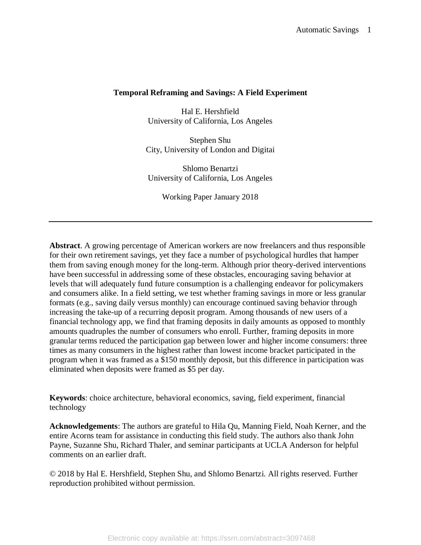## **Temporal Reframing and Savings: A Field Experiment**

Hal E. Hershfield University of California, Los Angeles

Stephen Shu City, University of London and Digitai

Shlomo Benartzi University of California, Los Angeles

Working Paper January 2018

**Abstract**. A growing percentage of American workers are now freelancers and thus responsible for their own retirement savings, yet they face a number of psychological hurdles that hamper them from saving enough money for the long-term. Although prior theory-derived interventions have been successful in addressing some of these obstacles, encouraging saving behavior at levels that will adequately fund future consumption is a challenging endeavor for policymakers and consumers alike. In a field setting, we test whether framing savings in more or less granular formats (e.g., saving daily versus monthly) can encourage continued saving behavior through increasing the take-up of a recurring deposit program. Among thousands of new users of a financial technology app, we find that framing deposits in daily amounts as opposed to monthly amounts quadruples the number of consumers who enroll. Further, framing deposits in more granular terms reduced the participation gap between lower and higher income consumers: three times as many consumers in the highest rather than lowest income bracket participated in the program when it was framed as a \$150 monthly deposit, but this difference in participation was eliminated when deposits were framed as \$5 per day.

**Keywords**: choice architecture, behavioral economics, saving, field experiment, financial technology

**Acknowledgements**: The authors are grateful to Hila Qu, Manning Field, Noah Kerner, and the entire Acorns team for assistance in conducting this field study. The authors also thank John Payne, Suzanne Shu, Richard Thaler, and seminar participants at UCLA Anderson for helpful comments on an earlier draft.

© 2018 by Hal E. Hershfield, Stephen Shu, and Shlomo Benartzi. All rights reserved. Further reproduction prohibited without permission.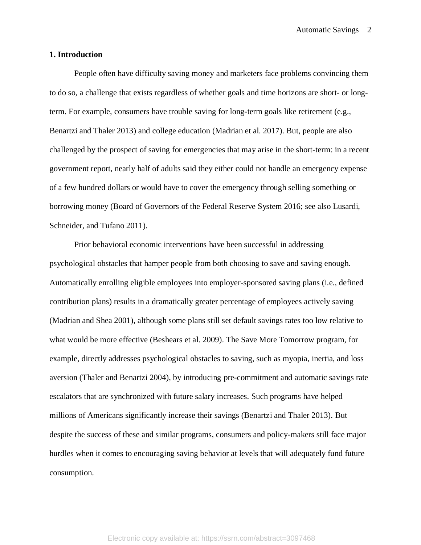### **1. Introduction**

People often have difficulty saving money and marketers face problems convincing them to do so, a challenge that exists regardless of whether goals and time horizons are short- or longterm. For example, consumers have trouble saving for long-term goals like retirement (e.g., Benartzi and Thaler 2013) and college education (Madrian et al. 2017). But, people are also challenged by the prospect of saving for emergencies that may arise in the short-term: in a recent government report, nearly half of adults said they either could not handle an emergency expense of a few hundred dollars or would have to cover the emergency through selling something or borrowing money (Board of Governors of the Federal Reserve System 2016; see also Lusardi, Schneider, and Tufano 2011).

Prior behavioral economic interventions have been successful in addressing psychological obstacles that hamper people from both choosing to save and saving enough. Automatically enrolling eligible employees into employer-sponsored saving plans (i.e., defined contribution plans) results in a dramatically greater percentage of employees actively saving (Madrian and Shea 2001), although some plans still set default savings rates too low relative to what would be more effective (Beshears et al. 2009). The Save More Tomorrow program, for example, directly addresses psychological obstacles to saving, such as myopia, inertia, and loss aversion (Thaler and Benartzi 2004), by introducing pre-commitment and automatic savings rate escalators that are synchronized with future salary increases. Such programs have helped millions of Americans significantly increase their savings (Benartzi and Thaler 2013). But despite the success of these and similar programs, consumers and policy-makers still face major hurdles when it comes to encouraging saving behavior at levels that will adequately fund future consumption.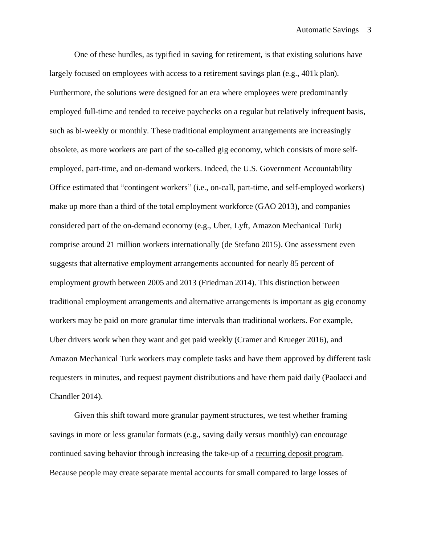One of these hurdles, as typified in saving for retirement, is that existing solutions have largely focused on employees with access to a retirement savings plan (e.g., 401k plan). Furthermore, the solutions were designed for an era where employees were predominantly employed full-time and tended to receive paychecks on a regular but relatively infrequent basis, such as bi-weekly or monthly. These traditional employment arrangements are increasingly obsolete, as more workers are part of the so-called gig economy, which consists of more selfemployed, part-time, and on-demand workers. Indeed, the U.S. Government Accountability Office estimated that "contingent workers" (i.e., on-call, part-time, and self-employed workers) make up more than a third of the total employment workforce (GAO 2013), and companies considered part of the on-demand economy (e.g., Uber, Lyft, Amazon Mechanical Turk) comprise around 21 million workers internationally (de Stefano 2015). One assessment even suggests that alternative employment arrangements accounted for nearly 85 percent of employment growth between 2005 and 2013 (Friedman 2014). This distinction between traditional employment arrangements and alternative arrangements is important as gig economy workers may be paid on more granular time intervals than traditional workers. For example, Uber drivers work when they want and get paid weekly (Cramer and Krueger 2016), and Amazon Mechanical Turk workers may complete tasks and have them approved by different task requesters in minutes, and request payment distributions and have them paid daily (Paolacci and Chandler 2014).

Given this shift toward more granular payment structures, we test whether framing savings in more or less granular formats (e.g., saving daily versus monthly) can encourage continued saving behavior through increasing the take-up of a recurring deposit program. Because people may create separate mental accounts for small compared to large losses of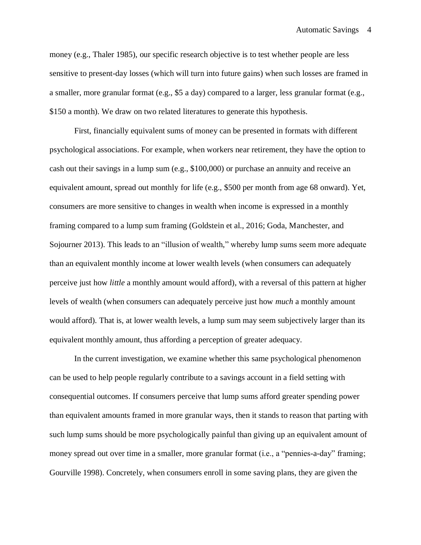money (e.g., Thaler 1985), our specific research objective is to test whether people are less sensitive to present-day losses (which will turn into future gains) when such losses are framed in a smaller, more granular format (e.g., \$5 a day) compared to a larger, less granular format (e.g., \$150 a month). We draw on two related literatures to generate this hypothesis.

First, financially equivalent sums of money can be presented in formats with different psychological associations. For example, when workers near retirement, they have the option to cash out their savings in a lump sum (e.g., \$100,000) or purchase an annuity and receive an equivalent amount, spread out monthly for life (e.g., \$500 per month from age 68 onward). Yet, consumers are more sensitive to changes in wealth when income is expressed in a monthly framing compared to a lump sum framing (Goldstein et al., 2016; Goda, Manchester, and Sojourner 2013). This leads to an "illusion of wealth," whereby lump sums seem more adequate than an equivalent monthly income at lower wealth levels (when consumers can adequately perceive just how *little* a monthly amount would afford), with a reversal of this pattern at higher levels of wealth (when consumers can adequately perceive just how *much* a monthly amount would afford). That is, at lower wealth levels, a lump sum may seem subjectively larger than its equivalent monthly amount, thus affording a perception of greater adequacy.

In the current investigation, we examine whether this same psychological phenomenon can be used to help people regularly contribute to a savings account in a field setting with consequential outcomes. If consumers perceive that lump sums afford greater spending power than equivalent amounts framed in more granular ways, then it stands to reason that parting with such lump sums should be more psychologically painful than giving up an equivalent amount of money spread out over time in a smaller, more granular format (i.e., a "pennies-a-day" framing; Gourville 1998). Concretely, when consumers enroll in some saving plans, they are given the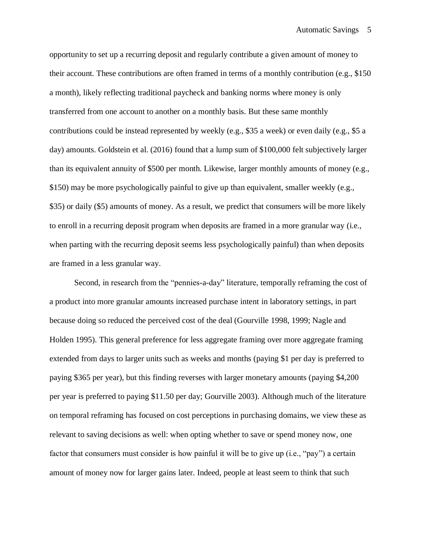opportunity to set up a recurring deposit and regularly contribute a given amount of money to their account. These contributions are often framed in terms of a monthly contribution (e.g., \$150 a month), likely reflecting traditional paycheck and banking norms where money is only transferred from one account to another on a monthly basis. But these same monthly contributions could be instead represented by weekly (e.g., \$35 a week) or even daily (e.g., \$5 a day) amounts. Goldstein et al. (2016) found that a lump sum of \$100,000 felt subjectively larger than its equivalent annuity of \$500 per month. Likewise, larger monthly amounts of money (e.g., \$150) may be more psychologically painful to give up than equivalent, smaller weekly (e.g., \$35) or daily (\$5) amounts of money. As a result, we predict that consumers will be more likely to enroll in a recurring deposit program when deposits are framed in a more granular way (i.e., when parting with the recurring deposit seems less psychologically painful) than when deposits are framed in a less granular way.

Second, in research from the "pennies-a-day" literature, temporally reframing the cost of a product into more granular amounts increased purchase intent in laboratory settings, in part because doing so reduced the perceived cost of the deal (Gourville 1998, 1999; Nagle and Holden 1995). This general preference for less aggregate framing over more aggregate framing extended from days to larger units such as weeks and months (paying \$1 per day is preferred to paying \$365 per year), but this finding reverses with larger monetary amounts (paying \$4,200 per year is preferred to paying \$11.50 per day; Gourville 2003). Although much of the literature on temporal reframing has focused on cost perceptions in purchasing domains, we view these as relevant to saving decisions as well: when opting whether to save or spend money now, one factor that consumers must consider is how painful it will be to give up (i.e., "pay") a certain amount of money now for larger gains later. Indeed, people at least seem to think that such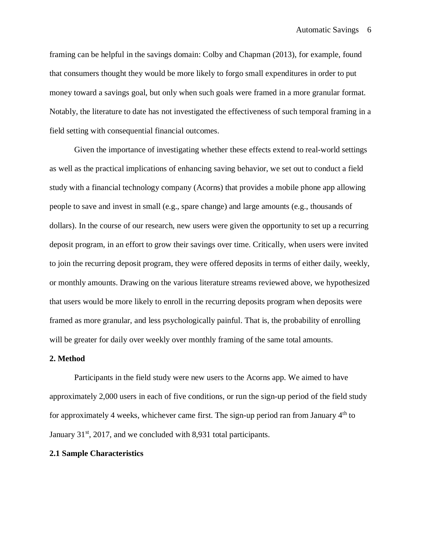framing can be helpful in the savings domain: Colby and Chapman (2013), for example, found that consumers thought they would be more likely to forgo small expenditures in order to put money toward a savings goal, but only when such goals were framed in a more granular format. Notably, the literature to date has not investigated the effectiveness of such temporal framing in a field setting with consequential financial outcomes.

Given the importance of investigating whether these effects extend to real-world settings as well as the practical implications of enhancing saving behavior, we set out to conduct a field study with a financial technology company (Acorns) that provides a mobile phone app allowing people to save and invest in small (e.g., spare change) and large amounts (e.g., thousands of dollars). In the course of our research, new users were given the opportunity to set up a recurring deposit program, in an effort to grow their savings over time. Critically, when users were invited to join the recurring deposit program, they were offered deposits in terms of either daily, weekly, or monthly amounts. Drawing on the various literature streams reviewed above, we hypothesized that users would be more likely to enroll in the recurring deposits program when deposits were framed as more granular, and less psychologically painful. That is, the probability of enrolling will be greater for daily over weekly over monthly framing of the same total amounts.

#### **2. Method**

Participants in the field study were new users to the Acorns app. We aimed to have approximately 2,000 users in each of five conditions, or run the sign-up period of the field study for approximately 4 weeks, whichever came first. The sign-up period ran from January 4th to January  $31<sup>st</sup>$ , 2017, and we concluded with 8,931 total participants.

### **2.1 Sample Characteristics**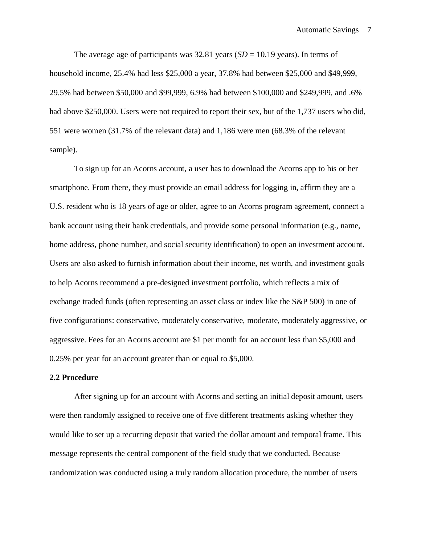The average age of participants was  $32.81$  years ( $SD = 10.19$  years). In terms of household income, 25.4% had less \$25,000 a year, 37.8% had between \$25,000 and \$49,999, 29.5% had between \$50,000 and \$99,999, 6.9% had between \$100,000 and \$249,999, and .6% had above \$250,000. Users were not required to report their sex, but of the 1,737 users who did, 551 were women (31.7% of the relevant data) and 1,186 were men (68.3% of the relevant sample).

To sign up for an Acorns account, a user has to download the Acorns app to his or her smartphone. From there, they must provide an email address for logging in, affirm they are a U.S. resident who is 18 years of age or older, agree to an Acorns program agreement, connect a bank account using their bank credentials, and provide some personal information (e.g., name, home address, phone number, and social security identification) to open an investment account. Users are also asked to furnish information about their income, net worth, and investment goals to help Acorns recommend a pre-designed investment portfolio, which reflects a mix of exchange traded funds (often representing an asset class or index like the S&P 500) in one of five configurations: conservative, moderately conservative, moderate, moderately aggressive, or aggressive. Fees for an Acorns account are \$1 per month for an account less than \$5,000 and 0.25% per year for an account greater than or equal to \$5,000.

### **2.2 Procedure**

After signing up for an account with Acorns and setting an initial deposit amount, users were then randomly assigned to receive one of five different treatments asking whether they would like to set up a recurring deposit that varied the dollar amount and temporal frame. This message represents the central component of the field study that we conducted. Because randomization was conducted using a truly random allocation procedure, the number of users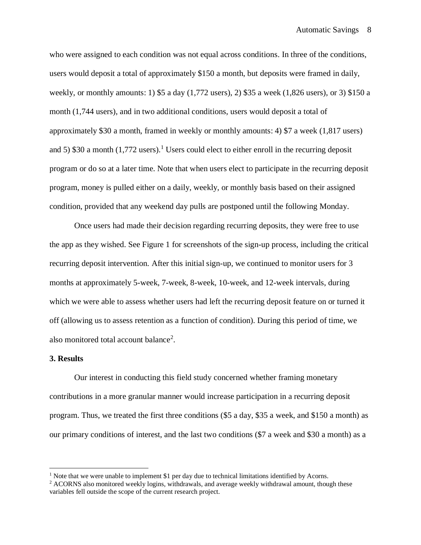who were assigned to each condition was not equal across conditions. In three of the conditions, users would deposit a total of approximately \$150 a month, but deposits were framed in daily, weekly, or monthly amounts: 1) \$5 a day (1,772 users), 2) \$35 a week (1,826 users), or 3) \$150 a month (1,744 users), and in two additional conditions, users would deposit a total of approximately \$30 a month, framed in weekly or monthly amounts: 4) \$7 a week (1,817 users) and 5) \$30 a month (1,772 users). <sup>1</sup> Users could elect to either enroll in the recurring deposit program or do so at a later time. Note that when users elect to participate in the recurring deposit program, money is pulled either on a daily, weekly, or monthly basis based on their assigned condition, provided that any weekend day pulls are postponed until the following Monday.

Once users had made their decision regarding recurring deposits, they were free to use the app as they wished. See Figure 1 for screenshots of the sign-up process, including the critical recurring deposit intervention. After this initial sign-up, we continued to monitor users for 3 months at approximately 5-week, 7-week, 8-week, 10-week, and 12-week intervals, during which we were able to assess whether users had left the recurring deposit feature on or turned it off (allowing us to assess retention as a function of condition). During this period of time, we also monitored total account balance<sup>2</sup>.

#### **3. Results**

 $\overline{a}$ 

Our interest in conducting this field study concerned whether framing monetary contributions in a more granular manner would increase participation in a recurring deposit program. Thus, we treated the first three conditions (\$5 a day, \$35 a week, and \$150 a month) as our primary conditions of interest, and the last two conditions (\$7 a week and \$30 a month) as a

<sup>&</sup>lt;sup>1</sup> Note that we were unable to implement \$1 per day due to technical limitations identified by Acorns.

<sup>&</sup>lt;sup>2</sup> ACORNS also monitored weekly logins, withdrawals, and average weekly withdrawal amount, though these variables fell outside the scope of the current research project.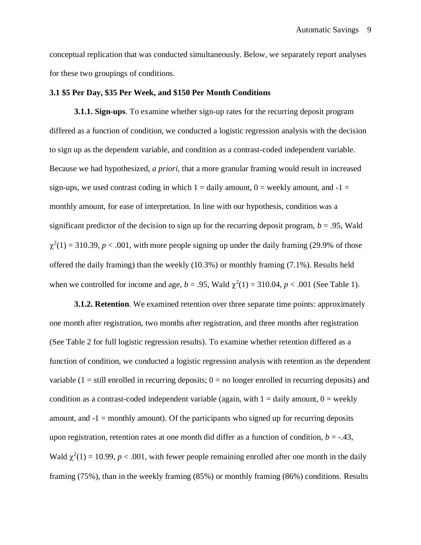conceptual replication that was conducted simultaneously. Below, we separately report analyses for these two groupings of conditions.

### **3.1 \$5 Per Day, \$35 Per Week, and \$150 Per Month Conditions**

**3.1.1. Sign-ups**. To examine whether sign-up rates for the recurring deposit program differed as a function of condition, we conducted a logistic regression analysis with the decision to sign up as the dependent variable, and condition as a contrast-coded independent variable. Because we had hypothesized, *a priori,* that a more granular framing would result in increased sign-ups, we used contrast coding in which  $1 =$  daily amount,  $0 =$  weekly amount, and  $-1 =$ monthly amount, for ease of interpretation. In line with our hypothesis, condition was a significant predictor of the decision to sign up for the recurring deposit program,  $b = .95$ , Wald  $\chi^2(1) = 310.39$ ,  $p < .001$ , with more people signing up under the daily framing (29.9% of those offered the daily framing) than the weekly (10.3%) or monthly framing (7.1%). Results held when we controlled for income and age,  $b = .95$ , Wald  $\chi^2(1) = 310.04$ ,  $p < .001$  (See Table 1).

**3.1.2. Retention**. We examined retention over three separate time points: approximately one month after registration, two months after registration, and three months after registration (See Table 2 for full logistic regression results). To examine whether retention differed as a function of condition, we conducted a logistic regression analysis with retention as the dependent variable  $(1 = \text{still enrolled in recurring deposits}; 0 = \text{no longer enrolled in recurring deposits})$  and condition as a contrast-coded independent variable (again, with  $1 =$  daily amount,  $0 =$  weekly amount, and  $-1$  = monthly amount). Of the participants who signed up for recurring deposits upon registration, retention rates at one month did differ as a function of condition,  $b = -0.43$ , Wald  $\chi^2(1) = 10.99$ ,  $p < .001$ , with fewer people remaining enrolled after one month in the daily framing (75%), than in the weekly framing (85%) or monthly framing (86%) conditions. Results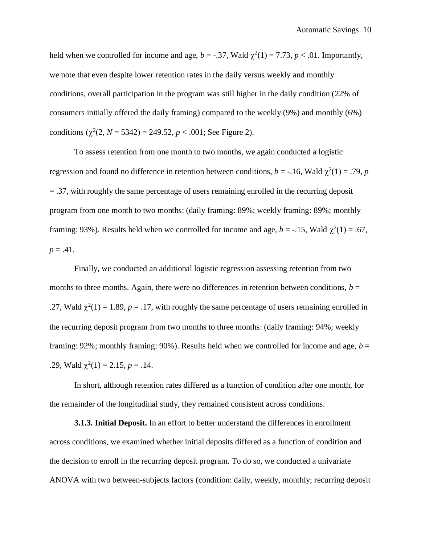held when we controlled for income and age,  $b = -.37$ , Wald  $\chi^2(1) = 7.73$ ,  $p < .01$ . Importantly, we note that even despite lower retention rates in the daily versus weekly and monthly conditions, overall participation in the program was still higher in the daily condition (22% of consumers initially offered the daily framing) compared to the weekly (9%) and monthly (6%) conditions  $(\chi^2(2, N = 5342) = 249.52, p < .001$ ; See Figure 2).

To assess retention from one month to two months, we again conducted a logistic regression and found no difference in retention between conditions,  $b = -16$ , Wald  $\chi^2(1) = .79$ , *p* = .37, with roughly the same percentage of users remaining enrolled in the recurring deposit program from one month to two months: (daily framing: 89%; weekly framing: 89%; monthly framing: 93%). Results held when we controlled for income and age,  $b = -0.15$ , Wald  $\chi^2(1) = 0.67$ ,  $p = .41$ .

Finally, we conducted an additional logistic regression assessing retention from two months to three months. Again, there were no differences in retention between conditions,  $b =$ .27, Wald  $\chi^2(1) = 1.89$ ,  $p = .17$ , with roughly the same percentage of users remaining enrolled in the recurring deposit program from two months to three months: (daily framing: 94%; weekly framing: 92%; monthly framing: 90%). Results held when we controlled for income and age,  $b =$ .29, Wald  $\chi^2(1) = 2.15$ ,  $p = .14$ .

In short, although retention rates differed as a function of condition after one month, for the remainder of the longitudinal study, they remained consistent across conditions.

**3.1.3. Initial Deposit.** In an effort to better understand the differences in enrollment across conditions, we examined whether initial deposits differed as a function of condition and the decision to enroll in the recurring deposit program. To do so, we conducted a univariate ANOVA with two between-subjects factors (condition: daily, weekly, monthly; recurring deposit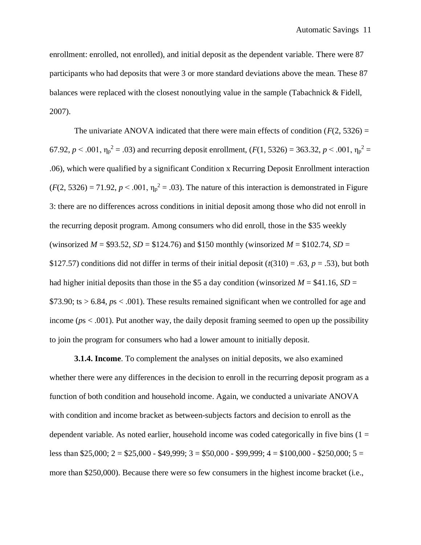enrollment: enrolled, not enrolled), and initial deposit as the dependent variable. There were 87 participants who had deposits that were 3 or more standard deviations above the mean. These 87 balances were replaced with the closest nonoutlying value in the sample (Tabachnick & Fidell, 2007).

The univariate ANOVA indicated that there were main effects of condition ( $F(2, 5326) =$ 67.92,  $p < .001$ ,  $\eta_p^2 = .03$ ) and recurring deposit enrollment,  $(F(1, 5326) = 363.32, p < .001, \eta_p^2 =$ .06), which were qualified by a significant Condition x Recurring Deposit Enrollment interaction  $(F(2, 5326) = 71.92, p < .001, \eta_p^2 = .03)$ . The nature of this interaction is demonstrated in Figure 3: there are no differences across conditions in initial deposit among those who did not enroll in the recurring deposit program. Among consumers who did enroll, those in the \$35 weekly (winsorized  $M = $93.52$ ,  $SD = $124.76$ ) and \$150 monthly (winsorized  $M = $102.74$ ,  $SD =$ \$127.57) conditions did not differ in terms of their initial deposit  $(t(310) = .63, p = .53)$ , but both had higher initial deposits than those in the \$5 a day condition (winsorized  $M = $41.16$ ,  $SD =$ \$73.90; ts > 6.84, *p*s < .001). These results remained significant when we controlled for age and income (*p*s < .001). Put another way, the daily deposit framing seemed to open up the possibility to join the program for consumers who had a lower amount to initially deposit.

**3.1.4. Income**. To complement the analyses on initial deposits, we also examined whether there were any differences in the decision to enroll in the recurring deposit program as a function of both condition and household income. Again, we conducted a univariate ANOVA with condition and income bracket as between-subjects factors and decision to enroll as the dependent variable. As noted earlier, household income was coded categorically in five bins  $(1 =$ less than \$25,000; 2 = \$25,000 - \$49,999; 3 = \$50,000 - \$99,999; 4 = \$100,000 - \$250,000; 5 = more than \$250,000). Because there were so few consumers in the highest income bracket (i.e.,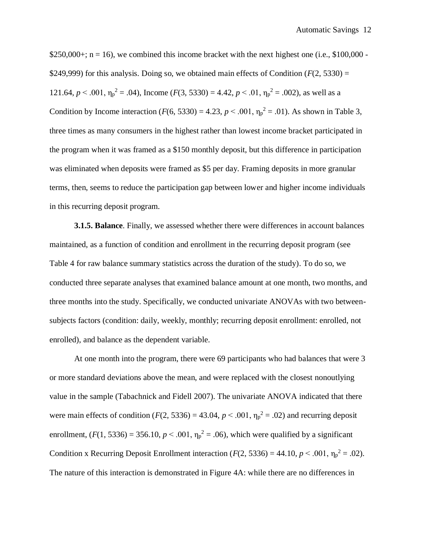$$250,000+; n = 16$ , we combined this income bracket with the next highest one (i.e., \$100,000 -\$249,999) for this analysis. Doing so, we obtained main effects of Condition  $(F(2, 5330) =$ 121.64,  $p < .001$ ,  $\eta_p^2 = .04$ ), Income ( $F(3, 5330) = 4.42$ ,  $p < .01$ ,  $\eta_p^2 = .002$ ), as well as a Condition by Income interaction ( $F(6, 5330) = 4.23$ ,  $p < .001$ ,  $\eta_p^2 = .01$ ). As shown in Table 3, three times as many consumers in the highest rather than lowest income bracket participated in the program when it was framed as a \$150 monthly deposit, but this difference in participation was eliminated when deposits were framed as \$5 per day. Framing deposits in more granular terms, then, seems to reduce the participation gap between lower and higher income individuals in this recurring deposit program.

**3.1.5. Balance**. Finally, we assessed whether there were differences in account balances maintained, as a function of condition and enrollment in the recurring deposit program (see Table 4 for raw balance summary statistics across the duration of the study). To do so, we conducted three separate analyses that examined balance amount at one month, two months, and three months into the study. Specifically, we conducted univariate ANOVAs with two betweensubjects factors (condition: daily, weekly, monthly; recurring deposit enrollment: enrolled, not enrolled), and balance as the dependent variable.

At one month into the program, there were 69 participants who had balances that were 3 or more standard deviations above the mean, and were replaced with the closest nonoutlying value in the sample (Tabachnick and Fidell 2007). The univariate ANOVA indicated that there were main effects of condition ( $F(2, 5336) = 43.04$ ,  $p < .001$ ,  $\eta_p^2 = .02$ ) and recurring deposit enrollment,  $(F(1, 5336) = 356.10, p < .001, \eta_p^2 = .06)$ , which were qualified by a significant Condition x Recurring Deposit Enrollment interaction ( $F(2, 5336) = 44.10$ ,  $p < .001$ ,  $\eta_p^2 = .02$ ). The nature of this interaction is demonstrated in Figure 4A: while there are no differences in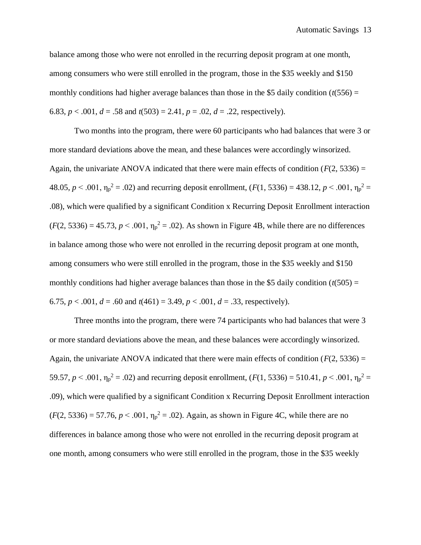balance among those who were not enrolled in the recurring deposit program at one month, among consumers who were still enrolled in the program, those in the \$35 weekly and \$150 monthly conditions had higher average balances than those in the \$5 daily condition  $(t(556) =$ 6.83,  $p < .001$ ,  $d = .58$  and  $t(503) = 2.41$ ,  $p = .02$ ,  $d = .22$ , respectively).

Two months into the program, there were 60 participants who had balances that were 3 or more standard deviations above the mean, and these balances were accordingly winsorized. Again, the univariate ANOVA indicated that there were main effects of condition  $(F(2, 5336) =$ 48.05,  $p < .001$ ,  $\eta_p^2 = .02$ ) and recurring deposit enrollment,  $(F(1, 5336) = 438.12, p < .001, \eta_p^2 =$ .08), which were qualified by a significant Condition x Recurring Deposit Enrollment interaction  $(F(2, 5336) = 45.73, p < .001, \eta_p^2 = .02)$ . As shown in Figure 4B, while there are no differences in balance among those who were not enrolled in the recurring deposit program at one month, among consumers who were still enrolled in the program, those in the \$35 weekly and \$150 monthly conditions had higher average balances than those in the \$5 daily condition  $(t(505) =$ 6.75,  $p < .001$ ,  $d = .60$  and  $t(461) = 3.49$ ,  $p < .001$ ,  $d = .33$ , respectively).

Three months into the program, there were 74 participants who had balances that were 3 or more standard deviations above the mean, and these balances were accordingly winsorized. Again, the univariate ANOVA indicated that there were main effects of condition ( $F(2, 5336) =$ 59.57,  $p < .001$ ,  $\eta_p^2 = .02$ ) and recurring deposit enrollment,  $(F(1, 5336) = 510.41, p < .001, \eta_p^2 =$ .09), which were qualified by a significant Condition x Recurring Deposit Enrollment interaction  $(F(2, 5336) = 57.76, p < .001, \eta_p^2 = .02)$ . Again, as shown in Figure 4C, while there are no differences in balance among those who were not enrolled in the recurring deposit program at one month, among consumers who were still enrolled in the program, those in the \$35 weekly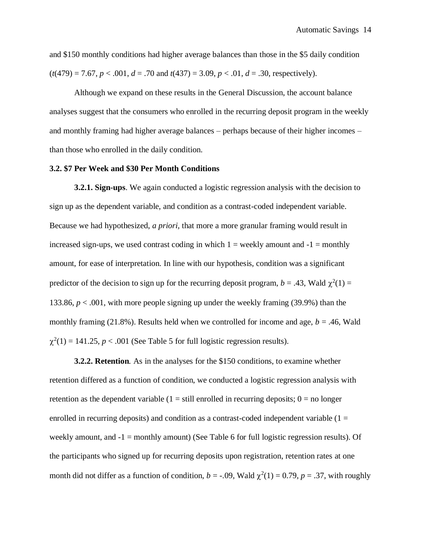and \$150 monthly conditions had higher average balances than those in the \$5 daily condition  $(t(479) = 7.67, p < .001, d = .70$  and  $t(437) = 3.09, p < .01, d = .30$ , respectively).

Although we expand on these results in the General Discussion, the account balance analyses suggest that the consumers who enrolled in the recurring deposit program in the weekly and monthly framing had higher average balances – perhaps because of their higher incomes – than those who enrolled in the daily condition.

## **3.2. \$7 Per Week and \$30 Per Month Conditions**

**3.2.1. Sign-ups**. We again conducted a logistic regression analysis with the decision to sign up as the dependent variable, and condition as a contrast-coded independent variable. Because we had hypothesized, *a priori,* that more a more granular framing would result in increased sign-ups, we used contrast coding in which  $1 =$  weekly amount and  $-1 =$  monthly amount, for ease of interpretation. In line with our hypothesis, condition was a significant predictor of the decision to sign up for the recurring deposit program,  $b = .43$ , Wald  $\chi^2(1) =$ 133.86, *p* < .001, with more people signing up under the weekly framing (39.9%) than the monthly framing (21.8%). Results held when we controlled for income and age,  $b = .46$ , Wald  $\chi^2(1) = 141.25$ ,  $p < .001$  (See Table 5 for full logistic regression results).

**3.2.2. Retention***.* As in the analyses for the \$150 conditions, to examine whether retention differed as a function of condition, we conducted a logistic regression analysis with retention as the dependent variable  $(1 = \text{still enrolled in recurring deposits}; 0 = \text{no longer})$ enrolled in recurring deposits) and condition as a contrast-coded independent variable  $(1 =$ weekly amount, and  $-1$  = monthly amount) (See Table 6 for full logistic regression results). Of the participants who signed up for recurring deposits upon registration, retention rates at one month did not differ as a function of condition,  $b = -.09$ , Wald  $\chi^2(1) = 0.79$ ,  $p = .37$ , with roughly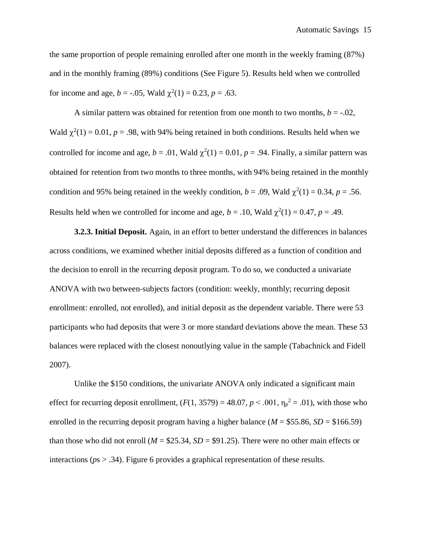the same proportion of people remaining enrolled after one month in the weekly framing (87%) and in the monthly framing (89%) conditions (See Figure 5). Results held when we controlled for income and age,  $b = -.05$ , Wald  $\chi^2(1) = 0.23$ ,  $p = .63$ .

A similar pattern was obtained for retention from one month to two months,  $b = -0.02$ , Wald  $\chi^2(1) = 0.01$ ,  $p = .98$ , with 94% being retained in both conditions. Results held when we controlled for income and age,  $b = .01$ , Wald  $\chi^2(1) = 0.01$ ,  $p = .94$ . Finally, a similar pattern was obtained for retention from two months to three months, with 94% being retained in the monthly condition and 95% being retained in the weekly condition,  $b = .09$ , Wald  $\chi^2(1) = 0.34$ ,  $p = .56$ . Results held when we controlled for income and age,  $b = .10$ , Wald  $\chi^2(1) = 0.47$ ,  $p = .49$ .

**3.2.3. Initial Deposit.** Again, in an effort to better understand the differences in balances across conditions, we examined whether initial deposits differed as a function of condition and the decision to enroll in the recurring deposit program. To do so, we conducted a univariate ANOVA with two between-subjects factors (condition: weekly, monthly; recurring deposit enrollment: enrolled, not enrolled), and initial deposit as the dependent variable. There were 53 participants who had deposits that were 3 or more standard deviations above the mean. These 53 balances were replaced with the closest nonoutlying value in the sample (Tabachnick and Fidell 2007).

Unlike the \$150 conditions, the univariate ANOVA only indicated a significant main effect for recurring deposit enrollment,  $(F(1, 3579) = 48.07, p < .001, \eta_p^2 = .01)$ , with those who enrolled in the recurring deposit program having a higher balance ( $M = $55.86$ ,  $SD = $166.59$ ) than those who did not enroll ( $M = $25.34$ ,  $SD = $91.25$ ). There were no other main effects or interactions (*p*s > .34). Figure 6 provides a graphical representation of these results.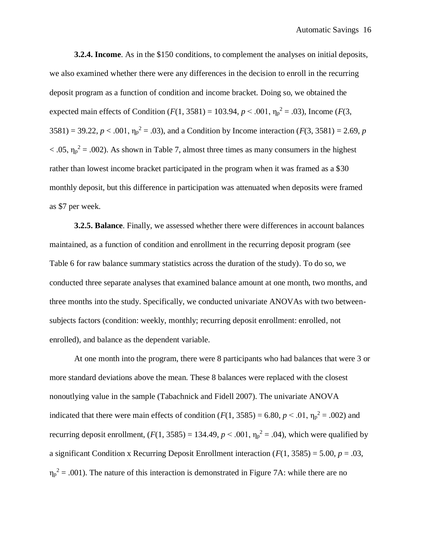**3.2.4. Income**. As in the \$150 conditions, to complement the analyses on initial deposits, we also examined whether there were any differences in the decision to enroll in the recurring deposit program as a function of condition and income bracket. Doing so, we obtained the expected main effects of Condition  $(F(1, 3581) = 103.94, p < .001, \eta_p^2 = .03)$ , Income  $(F(3, 479)$  $3581$ ) = 39.22,  $p < .001$ ,  $\eta_p^2 = .03$ ), and a Condition by Income interaction ( $F(3, 3581) = 2.69$ ,  $p$  $<$  .05,  $\eta_p^2$  = .002). As shown in Table 7, almost three times as many consumers in the highest rather than lowest income bracket participated in the program when it was framed as a \$30 monthly deposit, but this difference in participation was attenuated when deposits were framed as \$7 per week.

**3.2.5. Balance**. Finally, we assessed whether there were differences in account balances maintained, as a function of condition and enrollment in the recurring deposit program (see Table 6 for raw balance summary statistics across the duration of the study). To do so, we conducted three separate analyses that examined balance amount at one month, two months, and three months into the study. Specifically, we conducted univariate ANOVAs with two betweensubjects factors (condition: weekly, monthly; recurring deposit enrollment: enrolled, not enrolled), and balance as the dependent variable.

At one month into the program, there were 8 participants who had balances that were 3 or more standard deviations above the mean. These 8 balances were replaced with the closest nonoutlying value in the sample (Tabachnick and Fidell 2007). The univariate ANOVA indicated that there were main effects of condition ( $F(1, 3585) = 6.80$ ,  $p < .01$ ,  $\eta_p^2 = .002$ ) and recurring deposit enrollment,  $(F(1, 3585) = 134.49, p < .001, \eta_p^2 = .04)$ , which were qualified by a significant Condition x Recurring Deposit Enrollment interaction (*F*(1, 3585) = 5.00, *p* = .03,  $\eta_p^2$  = .001). The nature of this interaction is demonstrated in Figure 7A: while there are no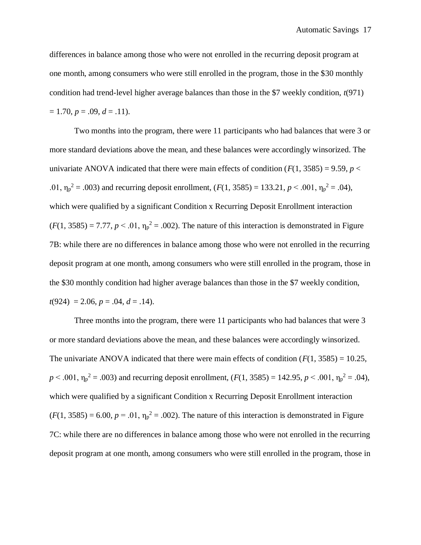differences in balance among those who were not enrolled in the recurring deposit program at one month, among consumers who were still enrolled in the program, those in the \$30 monthly condition had trend-level higher average balances than those in the \$7 weekly condition, *t*(971)  $= 1.70, p = .09, d = .11$ .

Two months into the program, there were 11 participants who had balances that were 3 or more standard deviations above the mean, and these balances were accordingly winsorized. The univariate ANOVA indicated that there were main effects of condition  $(F(1, 3585) = 9.59, p <$ .01,  $\eta_p^2 = .003$ ) and recurring deposit enrollment,  $(F(1, 3585) = 133.21, p < .001, \eta_p^2 = .04)$ , which were qualified by a significant Condition x Recurring Deposit Enrollment interaction  $(F(1, 3585) = 7.77, p < .01, \eta_p^2 = .002)$ . The nature of this interaction is demonstrated in Figure 7B: while there are no differences in balance among those who were not enrolled in the recurring deposit program at one month, among consumers who were still enrolled in the program, those in the \$30 monthly condition had higher average balances than those in the \$7 weekly condition,  $t(924) = 2.06, p = .04, d = .14$ .

Three months into the program, there were 11 participants who had balances that were 3 or more standard deviations above the mean, and these balances were accordingly winsorized. The univariate ANOVA indicated that there were main effects of condition  $(F(1, 3585) = 10.25$ ,  $p < .001$ ,  $\eta_p^2 = .003$ ) and recurring deposit enrollment,  $(F(1, 3585) = 142.95, p < .001, \eta_p^2 = .04)$ , which were qualified by a significant Condition x Recurring Deposit Enrollment interaction  $(F(1, 3585) = 6.00, p = .01, \eta_p^2 = .002)$ . The nature of this interaction is demonstrated in Figure 7C: while there are no differences in balance among those who were not enrolled in the recurring deposit program at one month, among consumers who were still enrolled in the program, those in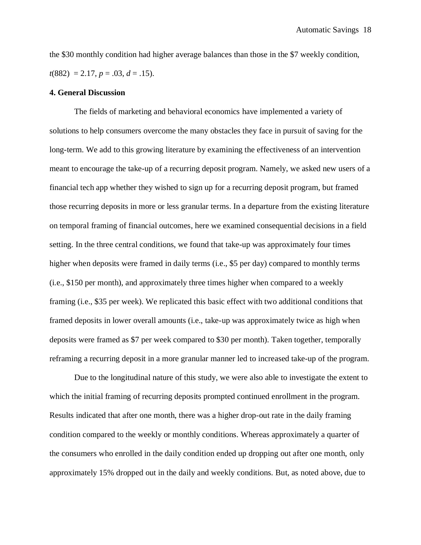the \$30 monthly condition had higher average balances than those in the \$7 weekly condition,  $t(882) = 2.17, p = .03, d = .15$ .

### **4. General Discussion**

The fields of marketing and behavioral economics have implemented a variety of solutions to help consumers overcome the many obstacles they face in pursuit of saving for the long-term. We add to this growing literature by examining the effectiveness of an intervention meant to encourage the take-up of a recurring deposit program. Namely, we asked new users of a financial tech app whether they wished to sign up for a recurring deposit program, but framed those recurring deposits in more or less granular terms. In a departure from the existing literature on temporal framing of financial outcomes, here we examined consequential decisions in a field setting. In the three central conditions, we found that take-up was approximately four times higher when deposits were framed in daily terms (i.e., \$5 per day) compared to monthly terms (i.e., \$150 per month), and approximately three times higher when compared to a weekly framing (i.e., \$35 per week). We replicated this basic effect with two additional conditions that framed deposits in lower overall amounts (i.e., take-up was approximately twice as high when deposits were framed as \$7 per week compared to \$30 per month). Taken together, temporally reframing a recurring deposit in a more granular manner led to increased take-up of the program.

Due to the longitudinal nature of this study, we were also able to investigate the extent to which the initial framing of recurring deposits prompted continued enrollment in the program. Results indicated that after one month, there was a higher drop-out rate in the daily framing condition compared to the weekly or monthly conditions. Whereas approximately a quarter of the consumers who enrolled in the daily condition ended up dropping out after one month, only approximately 15% dropped out in the daily and weekly conditions. But, as noted above, due to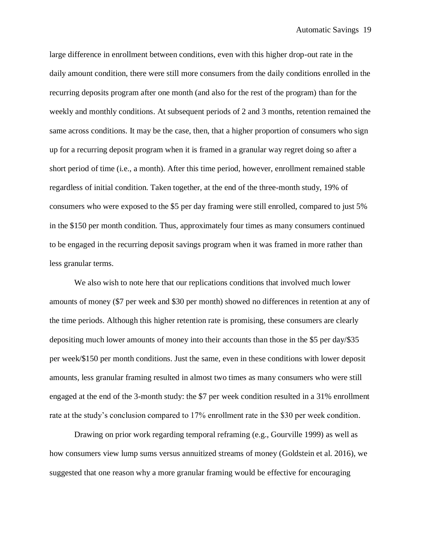large difference in enrollment between conditions, even with this higher drop-out rate in the daily amount condition, there were still more consumers from the daily conditions enrolled in the recurring deposits program after one month (and also for the rest of the program) than for the weekly and monthly conditions. At subsequent periods of 2 and 3 months, retention remained the same across conditions. It may be the case, then, that a higher proportion of consumers who sign up for a recurring deposit program when it is framed in a granular way regret doing so after a short period of time (i.e., a month). After this time period, however, enrollment remained stable regardless of initial condition. Taken together, at the end of the three-month study, 19% of consumers who were exposed to the \$5 per day framing were still enrolled, compared to just 5% in the \$150 per month condition. Thus, approximately four times as many consumers continued to be engaged in the recurring deposit savings program when it was framed in more rather than less granular terms.

We also wish to note here that our replications conditions that involved much lower amounts of money (\$7 per week and \$30 per month) showed no differences in retention at any of the time periods. Although this higher retention rate is promising, these consumers are clearly depositing much lower amounts of money into their accounts than those in the \$5 per day/\$35 per week/\$150 per month conditions. Just the same, even in these conditions with lower deposit amounts, less granular framing resulted in almost two times as many consumers who were still engaged at the end of the 3-month study: the \$7 per week condition resulted in a 31% enrollment rate at the study's conclusion compared to 17% enrollment rate in the \$30 per week condition.

Drawing on prior work regarding temporal reframing (e.g., Gourville 1999) as well as how consumers view lump sums versus annuitized streams of money (Goldstein et al. 2016), we suggested that one reason why a more granular framing would be effective for encouraging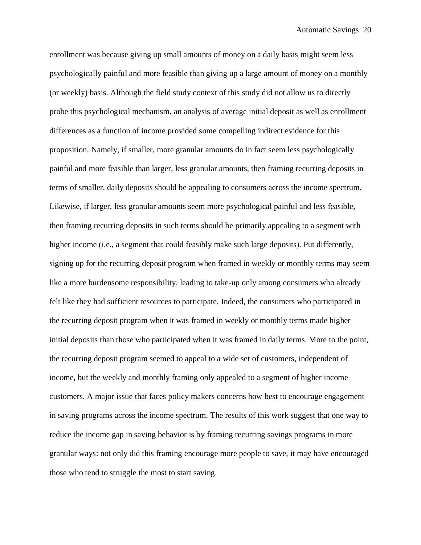enrollment was because giving up small amounts of money on a daily basis might seem less psychologically painful and more feasible than giving up a large amount of money on a monthly (or weekly) basis. Although the field study context of this study did not allow us to directly probe this psychological mechanism, an analysis of average initial deposit as well as enrollment differences as a function of income provided some compelling indirect evidence for this proposition. Namely, if smaller, more granular amounts do in fact seem less psychologically painful and more feasible than larger, less granular amounts, then framing recurring deposits in terms of smaller, daily deposits should be appealing to consumers across the income spectrum. Likewise, if larger, less granular amounts seem more psychological painful and less feasible, then framing recurring deposits in such terms should be primarily appealing to a segment with higher income (i.e., a segment that could feasibly make such large deposits). Put differently, signing up for the recurring deposit program when framed in weekly or monthly terms may seem like a more burdensome responsibility, leading to take-up only among consumers who already felt like they had sufficient resources to participate. Indeed, the consumers who participated in the recurring deposit program when it was framed in weekly or monthly terms made higher initial deposits than those who participated when it was framed in daily terms. More to the point, the recurring deposit program seemed to appeal to a wide set of customers, independent of income, but the weekly and monthly framing only appealed to a segment of higher income customers. A major issue that faces policy makers concerns how best to encourage engagement in saving programs across the income spectrum. The results of this work suggest that one way to reduce the income gap in saving behavior is by framing recurring savings programs in more granular ways: not only did this framing encourage more people to save, it may have encouraged those who tend to struggle the most to start saving.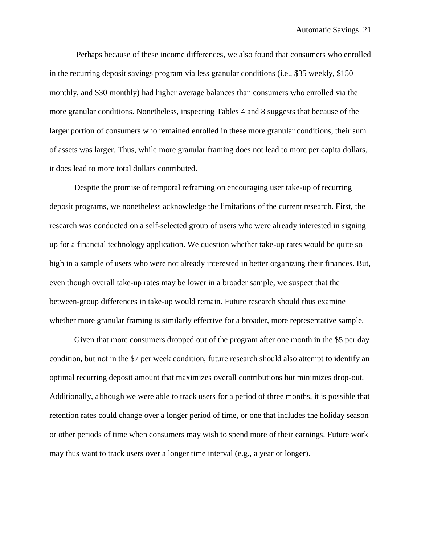Perhaps because of these income differences, we also found that consumers who enrolled in the recurring deposit savings program via less granular conditions (i.e., \$35 weekly, \$150 monthly, and \$30 monthly) had higher average balances than consumers who enrolled via the more granular conditions. Nonetheless, inspecting Tables 4 and 8 suggests that because of the larger portion of consumers who remained enrolled in these more granular conditions, their sum of assets was larger. Thus, while more granular framing does not lead to more per capita dollars, it does lead to more total dollars contributed.

Despite the promise of temporal reframing on encouraging user take-up of recurring deposit programs, we nonetheless acknowledge the limitations of the current research. First, the research was conducted on a self-selected group of users who were already interested in signing up for a financial technology application. We question whether take-up rates would be quite so high in a sample of users who were not already interested in better organizing their finances. But, even though overall take-up rates may be lower in a broader sample, we suspect that the between-group differences in take-up would remain. Future research should thus examine whether more granular framing is similarly effective for a broader, more representative sample.

Given that more consumers dropped out of the program after one month in the \$5 per day condition, but not in the \$7 per week condition, future research should also attempt to identify an optimal recurring deposit amount that maximizes overall contributions but minimizes drop-out. Additionally, although we were able to track users for a period of three months, it is possible that retention rates could change over a longer period of time, or one that includes the holiday season or other periods of time when consumers may wish to spend more of their earnings. Future work may thus want to track users over a longer time interval (e.g., a year or longer).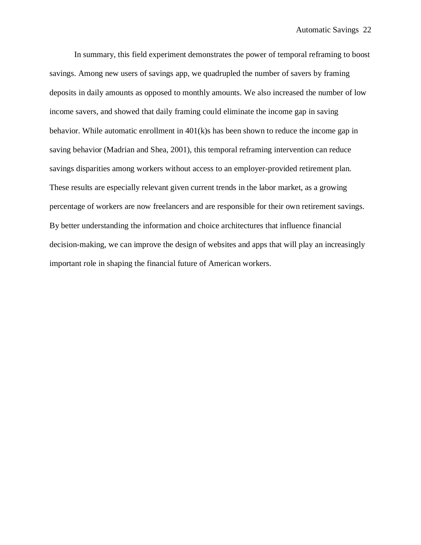In summary, this field experiment demonstrates the power of temporal reframing to boost savings. Among new users of savings app, we quadrupled the number of savers by framing deposits in daily amounts as opposed to monthly amounts. We also increased the number of low income savers, and showed that daily framing could eliminate the income gap in saving behavior. While automatic enrollment in 401(k)s has been shown to reduce the income gap in saving behavior (Madrian and Shea, 2001), this temporal reframing intervention can reduce savings disparities among workers without access to an employer-provided retirement plan. These results are especially relevant given current trends in the labor market, as a growing percentage of workers are now freelancers and are responsible for their own retirement savings. By better understanding the information and choice architectures that influence financial decision-making, we can improve the design of websites and apps that will play an increasingly important role in shaping the financial future of American workers.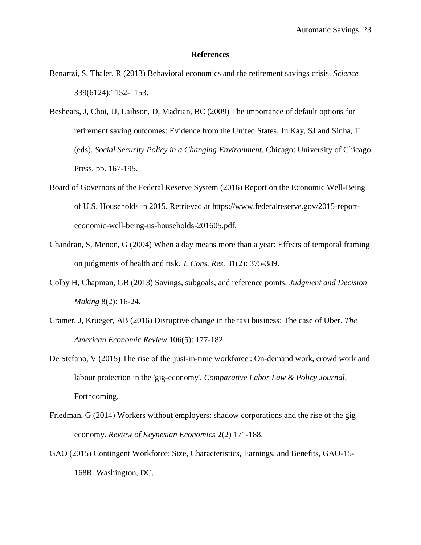#### **References**

- Benartzi, S, Thaler, R (2013) Behavioral economics and the retirement savings crisis. *Science*  339(6124):1152-1153.
- Beshears, J, Choi, JJ, Laibson, D, Madrian, BC (2009) The importance of default options for retirement saving outcomes: Evidence from the United States. In Kay, SJ and Sinha, T (eds). *Social Security Policy in a Changing Environment*. Chicago: University of Chicago Press. pp. 167-195.
- Board of Governors of the Federal Reserve System (2016) Report on the Economic Well-Being of U.S. Households in 2015. Retrieved at https://www.federalreserve.gov/2015-reporteconomic-well-being-us-households-201605.pdf.
- Chandran, S, Menon, G (2004) When a day means more than a year: Effects of temporal framing on judgments of health and risk. *J. Cons. Res.* 31(2): 375-389.
- Colby H, Chapman, GB (2013) Savings, subgoals, and reference points. *Judgment and Decision Making* 8(2): 16-24.
- Cramer, J, Krueger, AB (2016) Disruptive change in the taxi business: The case of Uber. *The American Economic Review* 106(5): 177-182.
- De Stefano, V (2015) The rise of the 'just-in-time workforce': On-demand work, crowd work and labour protection in the 'gig-economy'. *Comparative Labor Law & Policy Journal*. Forthcoming.
- Friedman, G (2014) Workers without employers: shadow corporations and the rise of the gig economy. *Review of Keynesian Economics* 2(2) 171-188.
- GAO (2015) Contingent Workforce: Size, Characteristics, Earnings, and Benefits, GAO-15- 168R. Washington, DC.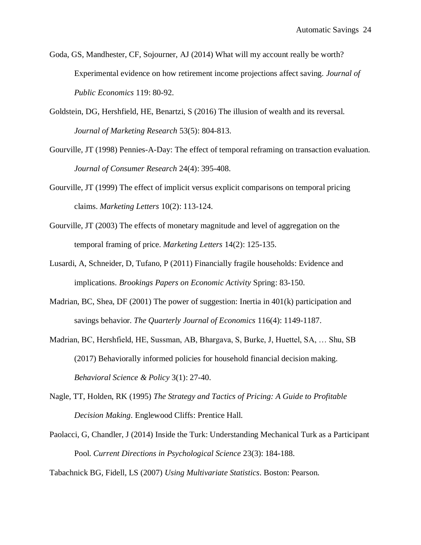- Goda, GS, Mandhester, CF, Sojourner, AJ (2014) What will my account really be worth? Experimental evidence on how retirement income projections affect saving. *Journal of Public Economics* 119: 80-92.
- Goldstein, DG, Hershfield, HE, Benartzi, S (2016) The illusion of wealth and its reversal. *Journal of Marketing Research* 53(5): 804-813.
- Gourville, JT (1998) Pennies-A-Day: The effect of temporal reframing on transaction evaluation. *Journal of Consumer Research* 24(4): 395-408.
- Gourville, JT (1999) The effect of implicit versus explicit comparisons on temporal pricing claims. *Marketing Letters* 10(2): 113-124.
- Gourville, JT (2003) The effects of monetary magnitude and level of aggregation on the temporal framing of price. *Marketing Letters* 14(2): 125-135.
- Lusardi, A, Schneider, D, Tufano, P (2011) Financially fragile households: Evidence and implications. *Brookings Papers on Economic Activity* Spring: 83-150.
- Madrian, BC, Shea, DF (2001) The power of suggestion: Inertia in 401(k) participation and savings behavior. *The Quarterly Journal of Economics* 116(4): 1149-1187.
- Madrian, BC, Hershfield, HE, Sussman, AB, Bhargava, S, Burke, J, Huettel, SA, … Shu, SB (2017) Behaviorally informed policies for household financial decision making. *Behavioral Science & Policy* 3(1): 27-40.
- Nagle, TT, Holden, RK (1995) *The Strategy and Tactics of Pricing: A Guide to Profitable Decision Making*. Englewood Cliffs: Prentice Hall.
- Paolacci, G, Chandler, J (2014) Inside the Turk: Understanding Mechanical Turk as a Participant Pool. *Current Directions in Psychological Science* 23(3): 184-188.

Tabachnick BG, Fidell, LS (2007) *Using Multivariate Statistics*. Boston: Pearson.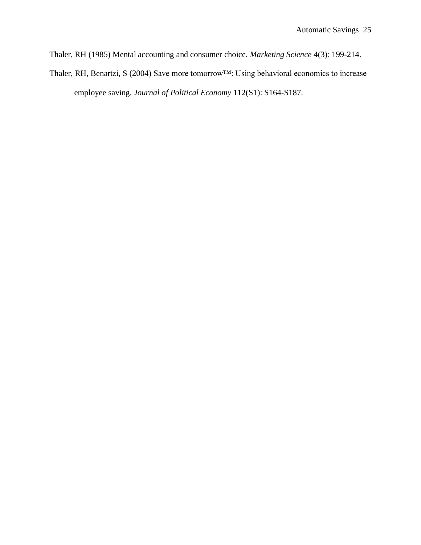Thaler, RH (1985) Mental accounting and consumer choice. *Marketing Science* 4(3): 199-214.

Thaler, RH, Benartzi, S (2004) Save more tomorrow™: Using behavioral economics to increase employee saving. *Journal of Political Economy* 112(S1): S164-S187.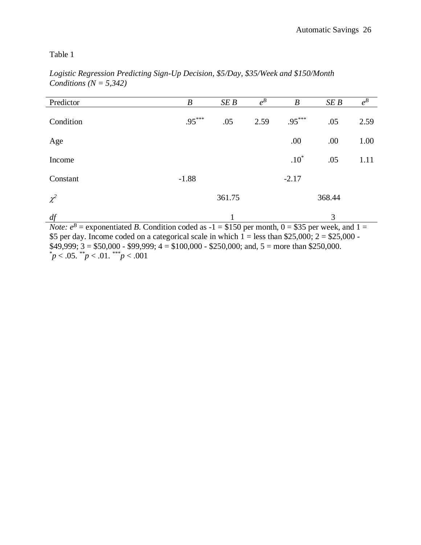| Predictor                                                                                                                                                                                                                                                                                                                   | $\boldsymbol{B}$                               | SE B                          | $e^{B}$ | $\boldsymbol{B}$         | SEB                   | $e^B$        |
|-----------------------------------------------------------------------------------------------------------------------------------------------------------------------------------------------------------------------------------------------------------------------------------------------------------------------------|------------------------------------------------|-------------------------------|---------|--------------------------|-----------------------|--------------|
| Condition                                                                                                                                                                                                                                                                                                                   | $.95***$                                       | .05                           | 2.59    | $.95***$                 | .05                   | 2.59         |
| Age                                                                                                                                                                                                                                                                                                                         |                                                |                               |         | .00                      | .00                   | 1.00         |
| Income                                                                                                                                                                                                                                                                                                                      |                                                |                               |         | $.10*$                   | .05                   | 1.11         |
| Constant                                                                                                                                                                                                                                                                                                                    | $-1.88$                                        |                               |         | $-2.17$                  |                       |              |
| $\chi^2$                                                                                                                                                                                                                                                                                                                    |                                                | 361.75                        |         |                          | 368.44                |              |
| df<br>D<br>$\mathbf{A}$ and $\mathbf{A}$ and $\mathbf{A}$ and $\mathbf{A}$ and $\mathbf{A}$ and $\mathbf{A}$ and $\mathbf{A}$ and $\mathbf{A}$ and $\mathbf{A}$ and $\mathbf{A}$ and $\mathbf{A}$ and $\mathbf{A}$ and $\mathbf{A}$ and $\mathbf{A}$ and $\mathbf{A}$ and $\mathbf{A}$ and $\mathbf{A}$ and<br>$\mathbf{r}$ | $\mathbf{r}$ and $\mathbf{r}$ and $\mathbf{r}$ | $\Delta$ $\sim$ $\sim$ $\sim$ |         | $A - I$<br>$\sim$ $\sim$ | 3<br><b>CONTINUES</b> | $\mathbf{A}$ |

*Logistic Regression Predicting Sign-Up Decision, \$5/Day, \$35/Week and \$150/Month Conditions (N = 5,342)*

*Note:*  $e^{B}$  = exponentiated *B*. Condition coded as -1 = \$150 per month, 0 = \$35 per week, and 1 = \$5 per day. Income coded on a categorical scale in which  $1 =$  less than \$25,000; 2 = \$25,000 - $\overline{$49,999; 3} = $50,000 - $99,999; 4 = $100,000 - $250,000;$  and,  $5 =$  more than \$250,000.  $p < .05.$  \*\*p  $< .01.$  \*\*\*p  $< .001$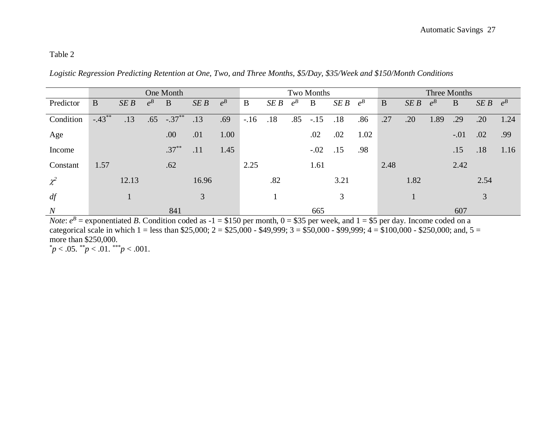*Logistic Regression Predicting Retention at One, Two, and Three Months, \$5/Day, \$35/Week and \$150/Month Conditions*

|                  | One Month |       |         |            |       |         |        | Two Months |         |        |      |         | Three Months |      |         |        |               |      |
|------------------|-----------|-------|---------|------------|-------|---------|--------|------------|---------|--------|------|---------|--------------|------|---------|--------|---------------|------|
| Predictor        | $\bf{B}$  | SEB   | $e^{B}$ | B          | SEB   | $e^{B}$ | B      | SEB        | $e^{B}$ | B      | SEB  | $e^{B}$ | B            | SEB  | $e^{B}$ | B      | $SEB$ $e^{B}$ |      |
| Condition        | $-.43**$  | .13   | .65     | $-0.37***$ | .13   | .69     | $-.16$ | .18        | .85     | $-.15$ | .18  | .86     | .27          | .20  | 1.89    | .29    | .20           | 1.24 |
| Age              |           |       |         | .00        | .01   | 1.00    |        |            |         | .02    | .02  | 1.02    |              |      |         | $-.01$ | .02           | .99  |
| Income           |           |       |         | $.37***$   | .11   | 1.45    |        |            |         | $-.02$ | .15  | .98     |              |      |         | .15    | .18           | 1.16 |
| Constant         | 1.57      |       |         | .62        |       |         | 2.25   |            |         | 1.61   |      |         | 2.48         |      |         | 2.42   |               |      |
| $\chi^2$         |           | 12.13 |         |            | 16.96 |         |        | .82        |         |        | 3.21 |         |              | 1.82 |         |        | 2.54          |      |
| df               |           |       |         |            | 3     |         |        |            |         |        | 3    |         |              |      |         |        | 3             |      |
| $\boldsymbol{N}$ |           |       |         | 841        |       |         |        |            |         | 665    |      |         |              |      |         | 607    |               |      |

*Note*:  $e^B$  = exponentiated *B*. Condition coded as -1 = \$150 per month, 0 = \$35 per week, and 1 = \$5 per day. Income coded on a categorical scale in which 1 = less than \$25,000; 2 = \$25,000 - \$49,999; 3 = \$50,000 - \$99,999; 4 = \$100,000 - \$250,000; and, 5 = more than \$250,000.

 $p < .05.$  \*\*p < .01. \*\*\*p < .001.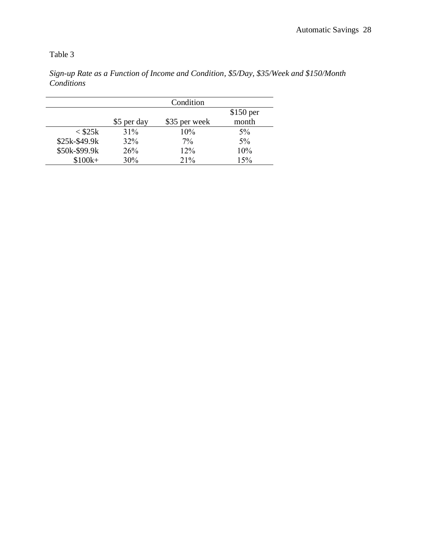$$100k+$ 

|               |             | Condition     |            |
|---------------|-------------|---------------|------------|
|               |             |               | $$150$ per |
|               | \$5 per day | \$35 per week | month      |
| $<$ \$25 $k$  | 31%         | 10%           | $5\%$      |
| \$25k-\$49.9k | $32\%$      | $7\%$         | $5\%$      |
| \$50k-\$99.9k | 26%         | 12%           | 10%        |
| $$100k+$      | 30%         | 21%           | 15%        |

*Sign-up Rate as a Function of Income and Condition, \$5/Day, \$35/Week and \$150/Month Conditions*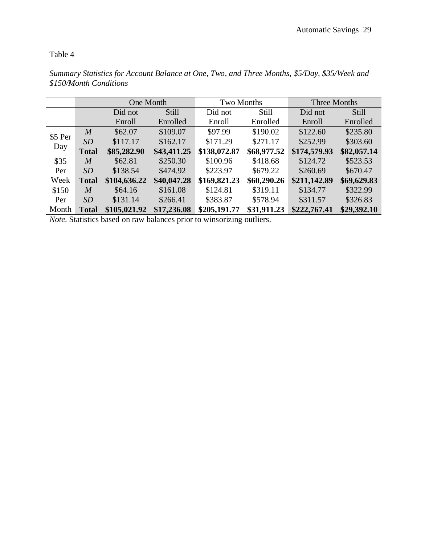|         |                  | One Month    |             | Two Months   |             | Three Months |              |  |  |
|---------|------------------|--------------|-------------|--------------|-------------|--------------|--------------|--|--|
|         |                  | Did not      | Still       | Did not      | Still       | Did not      | <b>Still</b> |  |  |
|         |                  | Enroll       | Enrolled    | Enroll       | Enrolled    | Enroll       | Enrolled     |  |  |
| \$5 Per | $\boldsymbol{M}$ | \$62.07      | \$109.07    | \$97.99      | \$190.02    | \$122.60     | \$235.80     |  |  |
|         | SD               | \$117.17     | \$162.17    | \$171.29     | \$271.17    | \$252.99     | \$303.60     |  |  |
| Day     | <b>Total</b>     | \$85,282.90  | \$43,411.25 | \$138,072.87 | \$68,977.52 | \$174,579.93 | \$82,057.14  |  |  |
| \$35    | $\boldsymbol{M}$ | \$62.81      | \$250.30    | \$100.96     | \$418.68    | \$124.72     | \$523.53     |  |  |
| Per     | SD               | \$138.54     | \$474.92    | \$223.97     | \$679.22    | \$260.69     | \$670.47     |  |  |
| Week    | <b>Total</b>     | \$104,636.22 | \$40,047.28 | \$169,821.23 | \$60,290.26 | \$211,142.89 | \$69,629.83  |  |  |
| \$150   | $\boldsymbol{M}$ | \$64.16      | \$161.08    | \$124.81     | \$319.11    | \$134.77     | \$322.99     |  |  |
| Per     | SD               | \$131.14     | \$266.41    | \$383.87     | \$578.94    | \$311.57     | \$326.83     |  |  |
| Month   | <b>Total</b>     | \$105,021.92 | \$17,236.08 | \$205,191.77 | \$31,911.23 | \$222,767.41 | \$29,392.10  |  |  |

*Summary Statistics for Account Balance at One, Two, and Three Months, \$5/Day, \$35/Week and \$150/Month Conditions*

*Note*. Statistics based on raw balances prior to winsorizing outliers.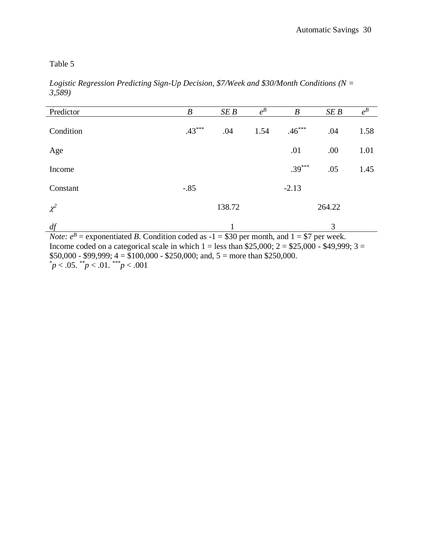*Logistic Regression Predicting Sign-Up Decision, \$7/Week and \$30/Month Conditions (N = 3,589)* 

| Predictor                                                                                                       | $\boldsymbol{B}$ | SE B   | $e^{B}$ | B        | SEB    | $e^{B}$ |  |  |  |  |
|-----------------------------------------------------------------------------------------------------------------|------------------|--------|---------|----------|--------|---------|--|--|--|--|
|                                                                                                                 |                  |        |         |          |        |         |  |  |  |  |
| Condition                                                                                                       | $.43***$         | .04    | 1.54    | $.46***$ | .04    | 1.58    |  |  |  |  |
| Age                                                                                                             |                  |        |         | .01      | .00    | 1.01    |  |  |  |  |
| Income                                                                                                          |                  |        |         | $.39***$ | .05    | 1.45    |  |  |  |  |
|                                                                                                                 |                  |        |         |          |        |         |  |  |  |  |
| Constant                                                                                                        | $-.85$           |        |         | $-2.13$  |        |         |  |  |  |  |
| $\chi^2$                                                                                                        |                  | 138.72 |         |          | 264.22 |         |  |  |  |  |
| df                                                                                                              |                  |        |         |          | 3      |         |  |  |  |  |
| <i>Note:</i> $e^{B}$ = exponentiated <i>B</i> . Condition coded as -1 = \$30 per month, and 1 = \$7 per week.   |                  |        |         |          |        |         |  |  |  |  |
| Income coded on a categorical scale in which $1 - \log \theta$ than \$25,000; $2 - \$25,000 - \$49,999$ ; $3 -$ |                  |        |         |          |        |         |  |  |  |  |

Income coded on a categorical scale in which  $1 =$  less than \$25,000;  $2 =$  \$25,000 - \$49,999;  $3 =$  $$50,000 - $99,999; 4 = $100,000 - $250,000;$  and,  $5 =$  more than \$250,000. \**p* < .05. \*\**p* < .01. \*\*\**p* < .001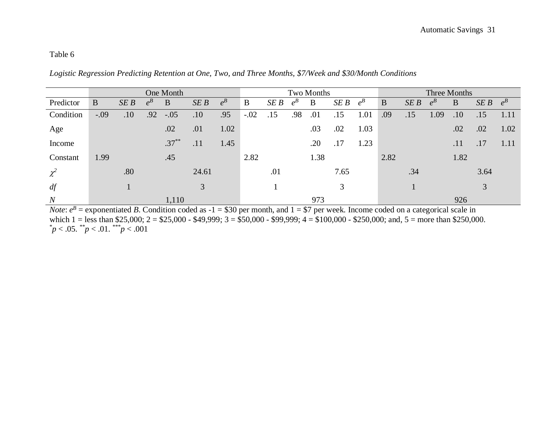*Logistic Regression Predicting Retention at One, Two, and Three Months, \$7/Week and \$30/Month Conditions*

|           | One Month |     |         |          |       |         | Two Months |      |         |      |      | Three Months |      |     |         |      |      |         |
|-----------|-----------|-----|---------|----------|-------|---------|------------|------|---------|------|------|--------------|------|-----|---------|------|------|---------|
| Predictor | B         | SEB | $e^{B}$ | B        | SEB   | $e^{B}$ | B          | SE B | $e^{B}$ | B    | SE B | $e^{B}$      | B    | SEB | $e^{B}$ | B    | SEB  | $e^{B}$ |
| Condition | $-.09$    | .10 | .92     | $-.05$   | .10   | .95     | $-.02$     | .15  | .98     | .01  | .15  | 1.01         | .09  | .15 | 1.09    | .10  | .15  | 1.11    |
| Age       |           |     |         | .02      | .01   | 1.02    |            |      |         | .03  | .02  | 1.03         |      |     |         | .02  | .02  | 1.02    |
| Income    |           |     |         | $.37***$ | .11   | 1.45    |            |      |         | .20  | .17  | 1.23         |      |     |         | .11  | .17  | 1.11    |
| Constant  | 1.99      |     |         | .45      |       |         | 2.82       |      |         | 1.38 |      |              | 2.82 |     |         | 1.82 |      |         |
| $\chi^2$  |           | .80 |         |          | 24.61 |         |            | .01  |         |      | 7.65 |              |      | .34 |         |      | 3.64 |         |
| df        |           |     |         |          | 3     |         |            |      |         |      | 3    |              |      |     |         |      | 3    |         |
| N         |           |     |         | 1,110    |       |         |            |      |         | 973  |      |              |      |     |         | 926  |      |         |

*Note*:  $e^B$  = exponentiated *B*. Condition coded as -1 = \$30 per month, and 1 = \$7 per week. Income coded on a categorical scale in which 1 = less than \$25,000; 2 = \$25,000 - \$49,999; 3 = \$50,000 - \$99,999; 4 = \$100,000 - \$250,000; and, 5 = more than \$250,000. \**p* < .05. \*\**p* < .01. \*\*\**p* < .001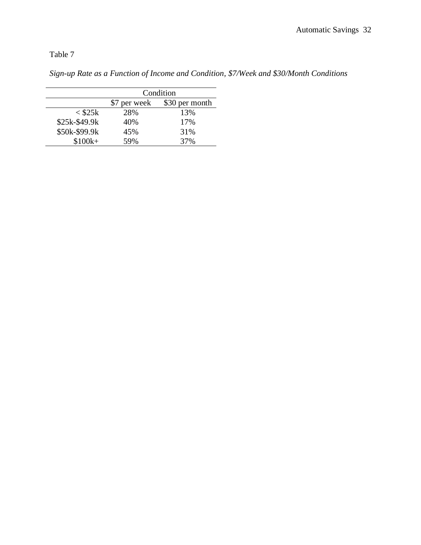*Sign-up Rate as a Function of Income and Condition, \$7/Week and \$30/Month Conditions*

|               | Condition    |                |  |  |  |  |  |  |
|---------------|--------------|----------------|--|--|--|--|--|--|
|               | \$7 per week | \$30 per month |  |  |  |  |  |  |
| $<$ \$25 $k$  | 28%          | 13%            |  |  |  |  |  |  |
| \$25k-\$49.9k | 40%          | 17%            |  |  |  |  |  |  |
| \$50k-\$99.9k | 45%          | 31%            |  |  |  |  |  |  |
| $$100k+$      | 59%          | 37%            |  |  |  |  |  |  |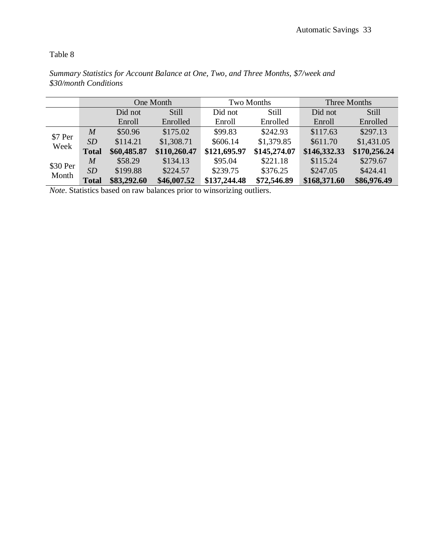|                   |                  |             | One Month    |              | Two Months   | Three Months |              |  |  |
|-------------------|------------------|-------------|--------------|--------------|--------------|--------------|--------------|--|--|
|                   |                  | Did not     | Still        | Did not      | Still        | Did not      | Still        |  |  |
|                   |                  | Enroll      | Enrolled     | Enroll       | Enrolled     | Enroll       | Enrolled     |  |  |
|                   | $\overline{M}$   | \$50.96     | \$175.02     | \$99.83      | \$242.93     | \$117.63     | \$297.13     |  |  |
| \$7 Per           | SD               | \$114.21    | \$1,308.71   | \$606.14     | \$1,379.85   | \$611.70     | \$1,431.05   |  |  |
| Week              | <b>Total</b>     | \$60,485.87 | \$110,260.47 | \$121,695.97 | \$145,274.07 | \$146,332.33 | \$170,256.24 |  |  |
|                   | $\boldsymbol{M}$ | \$58.29     | \$134.13     | \$95.04      | \$221.18     | \$115.24     | \$279.67     |  |  |
| \$30 Per<br>Month | SD               | \$199.88    | \$224.57     | \$239.75     | \$376.25     | \$247.05     | \$424.41     |  |  |
|                   | <b>Total</b>     | \$83,292.60 | \$46,007.52  | \$137,244.48 | \$72,546.89  | \$168,371.60 | \$86,976.49  |  |  |

*Summary Statistics for Account Balance at One, Two, and Three Months, \$7/week and \$30/month Conditions*

*Note*. Statistics based on raw balances prior to winsorizing outliers.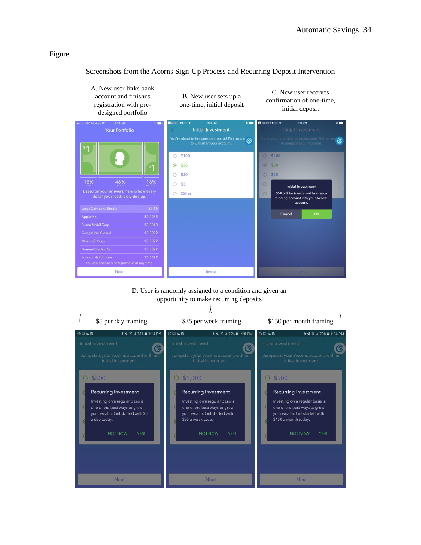Screenshots from the Acorns Sign-Up Process and Recurring Deposit Intervention



## D. User is randomly assigned to a condition and given an opportunity to make recurring deposits

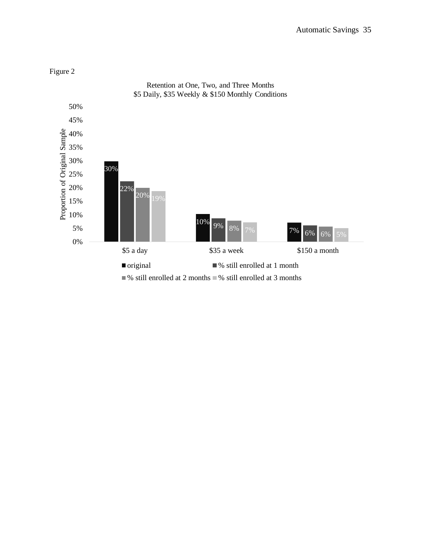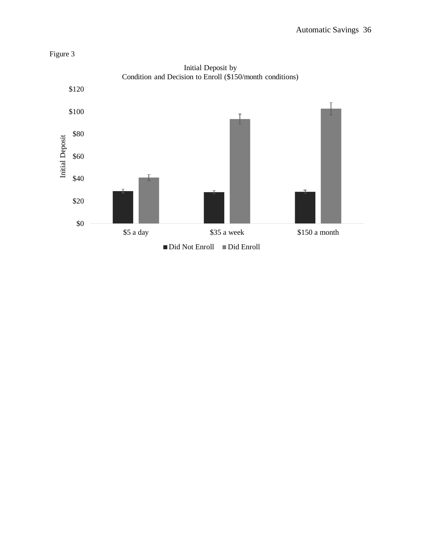

Initial Deposit by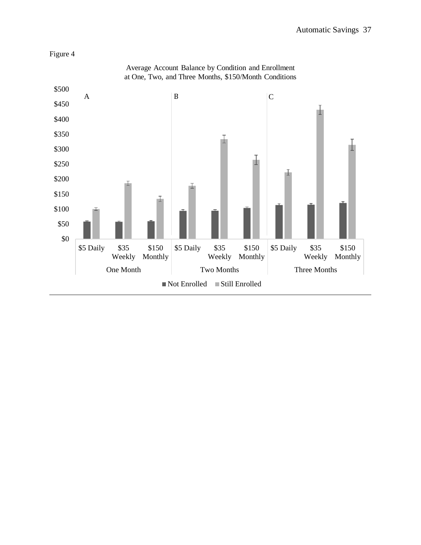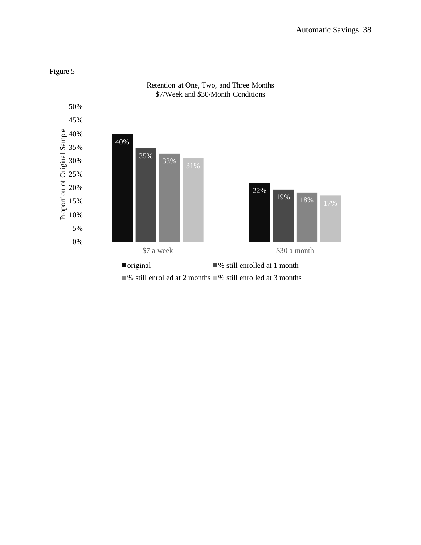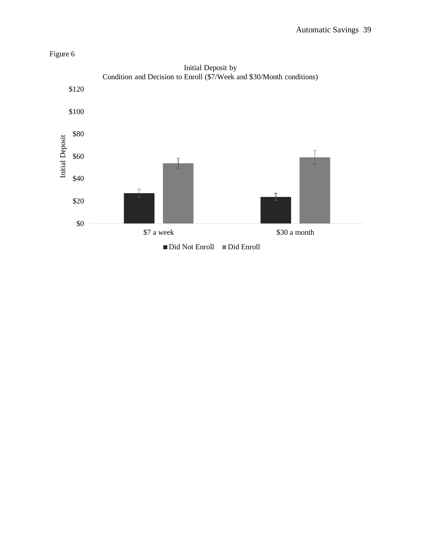